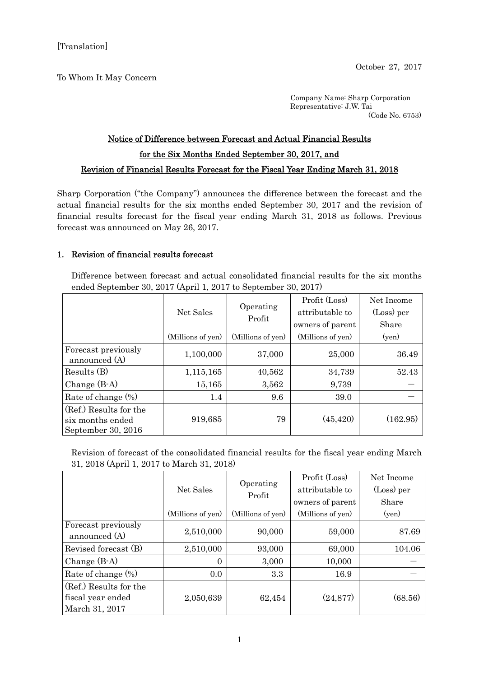To Whom It May Concern

Company Name: Sharp Corporation Representative: J.W. Tai (Code No. 6753)

## Notice of Difference between Forecast and Actual Financial Results for the Six Months Ended September 30, 2017, and Revision of Financial Results Forecast for the Fiscal Year Ending March 31, 2018

Sharp Corporation ("the Company") announces the difference between the forecast and the actual financial results for the six months ended September 30, 2017 and the revision of financial results forecast for the fiscal year ending March 31, 2018 as follows. Previous forecast was announced on May 26, 2017.

## 1. Revision of financial results forecast

Difference between forecast and actual consolidated financial results for the six months ended September 30, 2017 (April 1, 2017 to September 30, 2017)

|                                                                  | Net Sales         | Operating<br>Profit | Profit (Loss)<br>attributable to<br>owners of parent | Net Income<br>(Loss) per<br>Share |
|------------------------------------------------------------------|-------------------|---------------------|------------------------------------------------------|-----------------------------------|
|                                                                  | (Millions of yen) | (Millions of yen)   | (Millions of yen)                                    | (yen)                             |
| Forecast previously<br>announced (A)                             | 1,100,000         | 37,000              | 25,000                                               | 36.49                             |
| Results(B)                                                       | 1,115,165         | 40,562              | 34,739                                               | 52.43                             |
| Change $(B-A)$                                                   | 15,165            | 3,562               | 9,739                                                |                                   |
| Rate of change $(\%)$                                            | $1.4\,$           | 9.6                 | 39.0                                                 |                                   |
| (Ref.) Results for the<br>six months ended<br>September 30, 2016 | 919,685           | 79                  | (45, 420)                                            | (162.95)                          |

Revision of forecast of the consolidated financial results for the fiscal year ending March 31, 2018 (April 1, 2017 to March 31, 2018)

|                                      | Net Sales         | Operating<br>Profit | Profit (Loss)     | Net Income |
|--------------------------------------|-------------------|---------------------|-------------------|------------|
|                                      |                   |                     | attributable to   | (Loss) per |
|                                      |                   |                     | owners of parent  | Share      |
|                                      | (Millions of yen) | (Millions of yen)   | (Millions of yen) | (yen)      |
| Forecast previously<br>announced (A) | 2,510,000         | 90,000              | 59,000            | 87.69      |
| Revised forecast (B)                 | 2,510,000         | 93,000              | 69,000            | 104.06     |
| Change $(B-A)$                       | $\theta$          | 3,000               | 10,000            |            |
| Rate of change $(\%)$                | 0.0               | 3.3                 | 16.9              |            |
| (Ref.) Results for the               |                   |                     |                   |            |
| fiscal year ended                    | 2,050,639         | 62,454              | (24, 877)         | (68.56)    |
| March 31, 2017                       |                   |                     |                   |            |